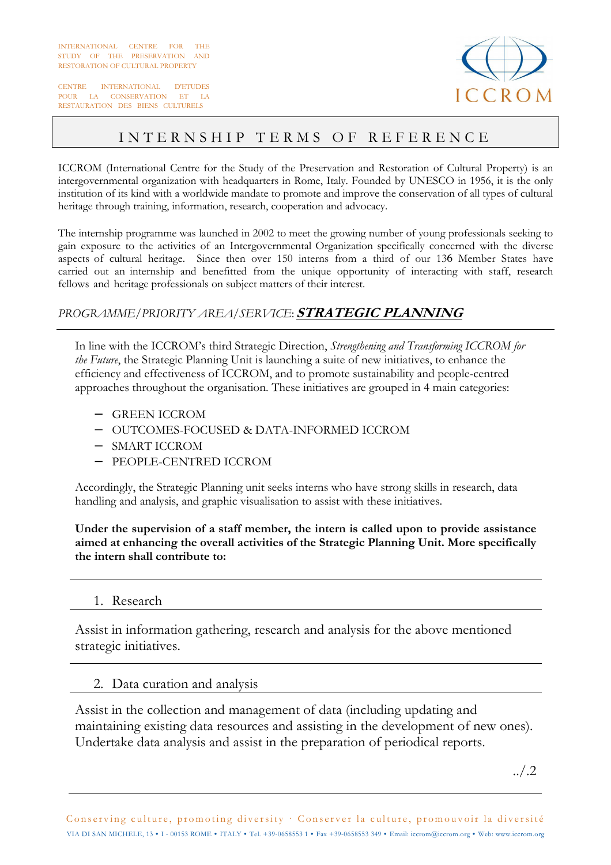CENTRE INTERNATIONAL D'ETUDES POUR LA CONSERVATION ET LA RESTAURATION DES BIENS CULTURELS



# INTERNSHIP TERMS OF REFERENCE

ICCROM (International Centre for the Study of the Preservation and Restoration of Cultural Property) is an intergovernmental organization with headquarters in Rome, Italy. Founded by UNESCO in 1956, it is the only institution of its kind with a worldwide mandate to promote and improve the conservation of all types of cultural heritage through training, information, research, cooperation and advocacy.

The internship programme was launched in 2002 to meet the growing number of young professionals seeking to gain exposure to the activities of an Intergovernmental Organization specifically concerned with the diverse aspects of cultural heritage. Since then over 150 interns from a third of our 136 Member States have carried out an internship and benefitted from the unique opportunity of interacting with staff, research fellows and heritage professionals on subject matters of their interest.

### *PROGRAMME/PRIORITY AREA/SERVICE*: **STRATEGIC PLANNING**

In line with the ICCROM's third Strategic Direction, *Strengthening and Transforming ICCROM for the Future*, the Strategic Planning Unit is launching a suite of new initiatives, to enhance the efficiency and effectiveness of ICCROM, and to promote sustainability and people-centred approaches throughout the organisation. These initiatives are grouped in 4 main categories:

- − GREEN ICCROM
- − OUTCOMES-FOCUSED & DATA-INFORMED ICCROM
- − SMART ICCROM
- − PEOPLE-CENTRED ICCROM

Accordingly, the Strategic Planning unit seeks interns who have strong skills in research, data handling and analysis, and graphic visualisation to assist with these initiatives.

**Under the supervision of a staff member, the intern is called upon to provide assistance aimed at enhancing the overall activities of the Strategic Planning Unit. More specifically the intern shall contribute to:** 

#### 1. Research

Assist in information gathering, research and analysis for the above mentioned strategic initiatives.

#### 2. Data curation and analysis

Assist in the collection and management of data (including updating and maintaining existing data resources and assisting in the development of new ones). Undertake data analysis and assist in the preparation of periodical reports.

../.2